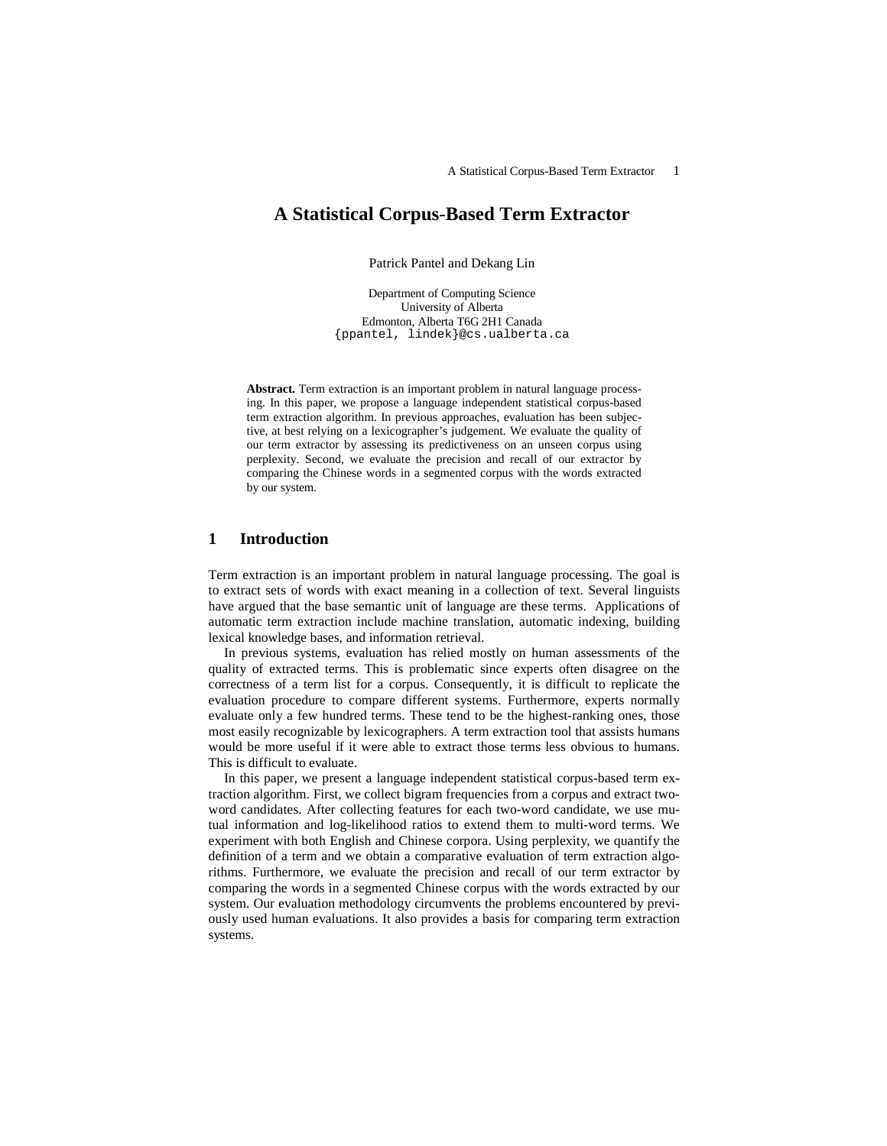# **A Statistical Corpus-Based Term Extractor**

Patrick Pantel and Dekang Lin

Department of Computing Science University of Alberta Edmonton, Alberta T6G 2H1 Canada {ppantel, lindek}@cs.ualberta.ca

**Abstract.** Term extraction is an important problem in natural language processing. In this paper, we propose a language independent statistical corpus-based term extraction algorithm. In previous approaches, evaluation has been subjective, at best relying on a lexicographer's judgement. We evaluate the quality of our term extractor by assessing its predictiveness on an unseen corpus using perplexity. Second, we evaluate the precision and recall of our extractor by comparing the Chinese words in a segmented corpus with the words extracted by our system.

### **1 Introduction**

Term extraction is an important problem in natural language processing. The goal is to extract sets of words with exact meaning in a collection of text. Several linguists have argued that the base semantic unit of language are these terms. Applications of automatic term extraction include machine translation, automatic indexing, building lexical knowledge bases, and information retrieval.

In previous systems, evaluation has relied mostly on human assessments of the quality of extracted terms. This is problematic since experts often disagree on the correctness of a term list for a corpus. Consequently, it is difficult to replicate the evaluation procedure to compare different systems. Furthermore, experts normally evaluate only a few hundred terms. These tend to be the highest-ranking ones, those most easily recognizable by lexicographers. A term extraction tool that assists humans would be more useful if it were able to extract those terms less obvious to humans. This is difficult to evaluate.

In this paper, we present a language independent statistical corpus-based term extraction algorithm. First, we collect bigram frequencies from a corpus and extract twoword candidates. After collecting features for each two-word candidate, we use mutual information and log-likelihood ratios to extend them to multi-word terms. We experiment with both English and Chinese corpora. Using perplexity, we quantify the definition of a term and we obtain a comparative evaluation of term extraction algorithms. Furthermore, we evaluate the precision and recall of our term extractor by comparing the words in a segmented Chinese corpus with the words extracted by our system. Our evaluation methodology circumvents the problems encountered by previously used human evaluations. It also provides a basis for comparing term extraction systems.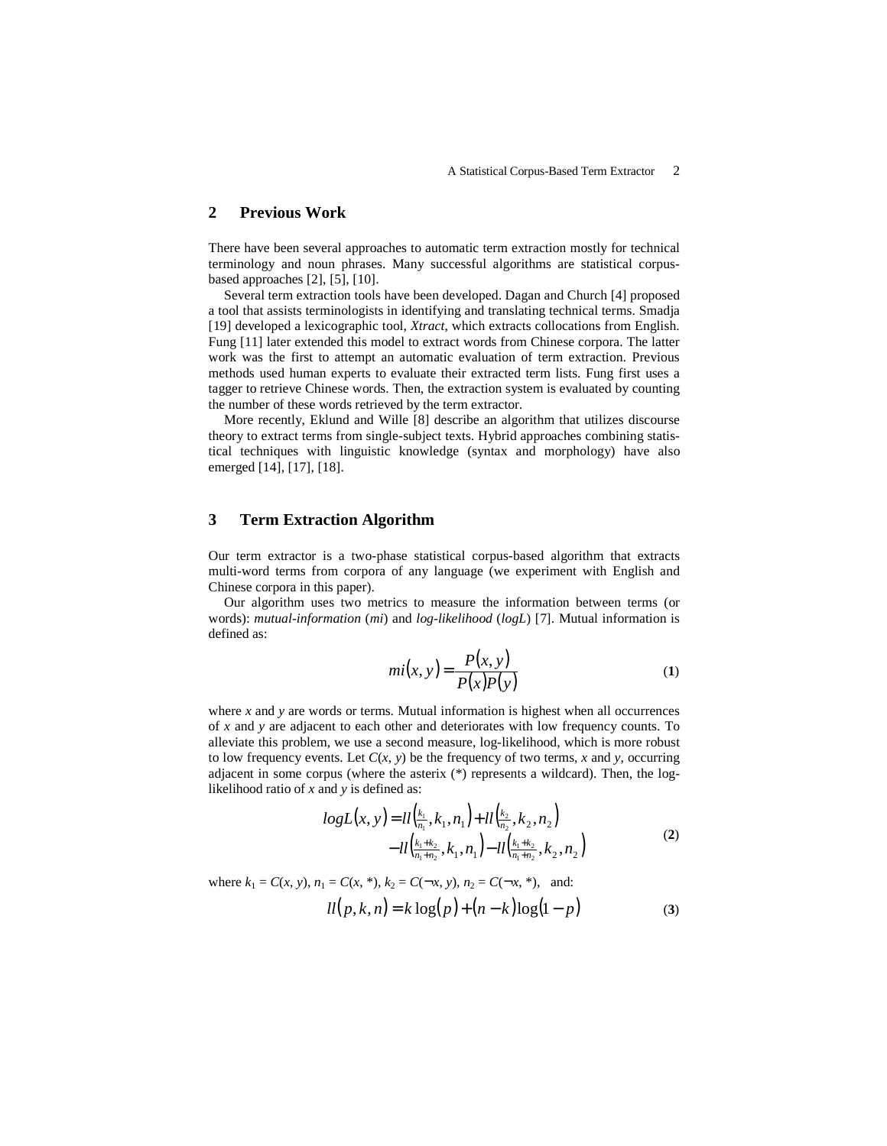# **2 Previous Work**

There have been several approaches to automatic term extraction mostly for technical terminology and noun phrases. Many successful algorithms are statistical corpusbased approaches [2], [5], [10].

Several term extraction tools have been developed. Dagan and Church [4] proposed a tool that assists terminologists in identifying and translating technical terms. Smadja [19] developed a lexicographic tool, *Xtract*, which extracts collocations from English. Fung [11] later extended this model to extract words from Chinese corpora. The latter work was the first to attempt an automatic evaluation of term extraction. Previous methods used human experts to evaluate their extracted term lists. Fung first uses a tagger to retrieve Chinese words. Then, the extraction system is evaluated by counting the number of these words retrieved by the term extractor.

More recently, Eklund and Wille [8] describe an algorithm that utilizes discourse theory to extract terms from single-subject texts. Hybrid approaches combining statistical techniques with linguistic knowledge (syntax and morphology) have also emerged [14], [17], [18].

## **3 Term Extraction Algorithm**

Our term extractor is a two-phase statistical corpus-based algorithm that extracts multi-word terms from corpora of any language (we experiment with English and Chinese corpora in this paper).

Our algorithm uses two metrics to measure the information between terms (or words): *mutual-information* (*mi*) and *log-likelihood* (*logL*) [7]. Mutual information is defined as:

$$
mi(x, y) = \frac{P(x, y)}{P(x)P(y)}\tag{1}
$$

where *x* and *y* are words or terms. Mutual information is highest when all occurrences of *x* and *y* are adjacent to each other and deteriorates with low frequency counts. To alleviate this problem, we use a second measure, log-likelihood, which is more robust to low frequency events. Let  $C(x, y)$  be the frequency of two terms, x and y, occurring adjacent in some corpus (where the asterix (\*) represents a wildcard). Then, the loglikelihood ratio of *x* and *y* is defined as:

$$
log L(x, y) = l l\left(\frac{k_1}{n_1}, k_1, n_1\right) + l l\left(\frac{k_2}{n_2}, k_2, n_2\right) - l l\left(\frac{k_1 + k_2}{n_1 + n_2}, k_1, n_1\right) - l l\left(\frac{k_1 + k_2}{n_1 + n_2}, k_2, n_2\right)
$$
(2)

where  $k_1 = C(x, y)$ ,  $n_1 = C(x, *), k_2 = C(\neg x, y)$ ,  $n_2 = C(\neg x, *),$  and:

$$
ll(p,k,n) = k \log(p) + (n-k) \log(1-p)
$$
\n(3)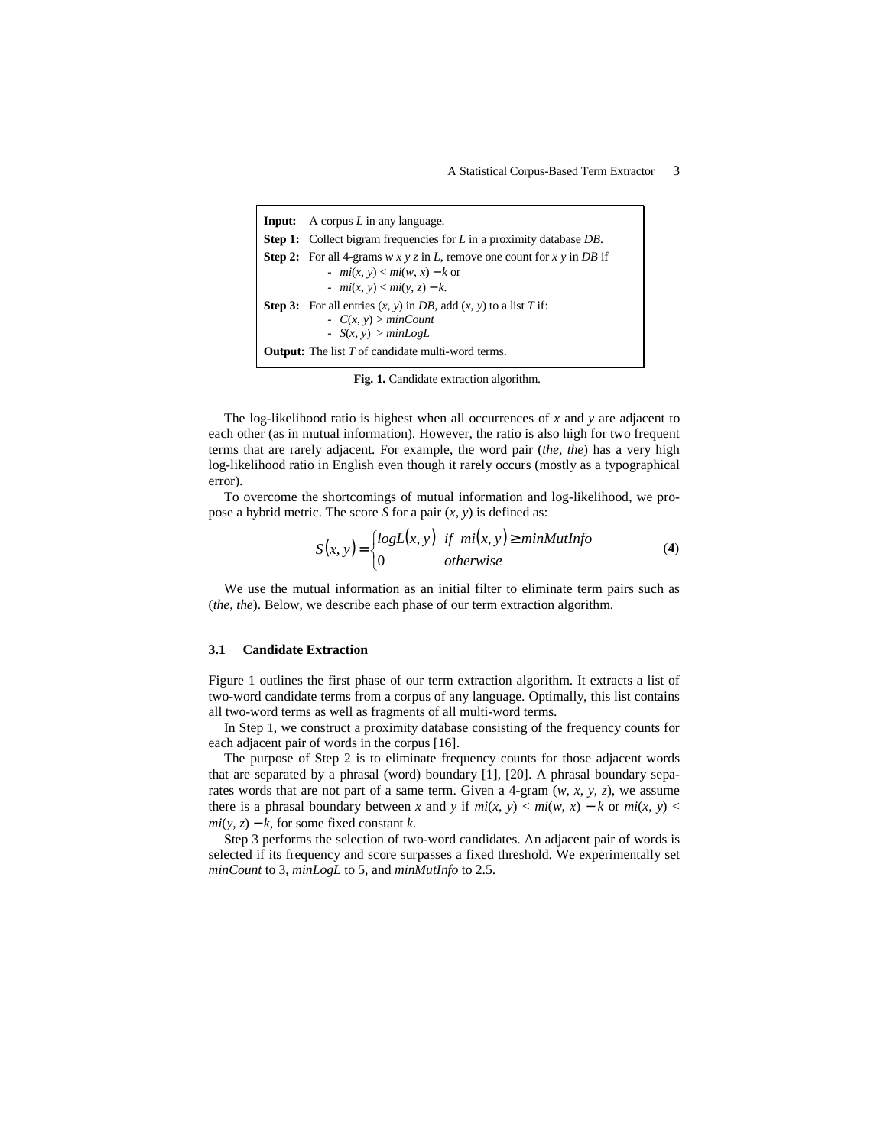```
Input: A corpus L in any language.
Step 1: Collect bigram frequencies for L in a proximity database DB.
Step 2: For all 4-grams wxyz in L, remove one count for x y in DB if
            - mi(x, y) < mi(w, x) − k or
            - mi(x, y) < mi(y, z) − k.
Step 3: For all entries (x, y) in DB, add (x, y) to a list T if:
             - C(x, y) > minCount- S(x, y) > minLogLOutput: The list T of candidate multi-word terms.
```
**Fig. 1.** Candidate extraction algorithm.

The log-likelihood ratio is highest when all occurrences of *x* and *y* are adjacent to each other (as in mutual information). However, the ratio is also high for two frequent terms that are rarely adjacent. For example, the word pair (*the*, *the*) has a very high log-likelihood ratio in English even though it rarely occurs (mostly as a typographical error).

To overcome the shortcomings of mutual information and log-likelihood, we propose a hybrid metric. The score *S* for a pair (*x*, *y*) is defined as:

$$
S(x, y) = \begin{cases} logL(x, y) & \text{if } mi(x, y) \ge minMultInfo \\ 0 & \text{otherwise} \end{cases}
$$
 (4)

We use the mutual information as an initial filter to eliminate term pairs such as (*the*, *the*). Below, we describe each phase of our term extraction algorithm.

#### **3.1 Candidate Extraction**

Figure 1 outlines the first phase of our term extraction algorithm. It extracts a list of two-word candidate terms from a corpus of any language. Optimally, this list contains all two-word terms as well as fragments of all multi-word terms.

In Step 1, we construct a proximity database consisting of the frequency counts for each adjacent pair of words in the corpus [16].

The purpose of Step 2 is to eliminate frequency counts for those adjacent words that are separated by a phrasal (word) boundary [1], [20]. A phrasal boundary separates words that are not part of a same term. Given a 4-gram  $(w, x, y, z)$ , we assume there is a phrasal boundary between *x* and *y* if  $mi(x, y) < mi(w, x) - k$  or  $mi(x, y) <$  $mi(y, z) - k$ , for some fixed constant *k*.

Step 3 performs the selection of two-word candidates. An adjacent pair of words is selected if its frequency and score surpasses a fixed threshold. We experimentally set *minCount* to 3, *minLogL* to 5, and *minMutInfo* to 2.5.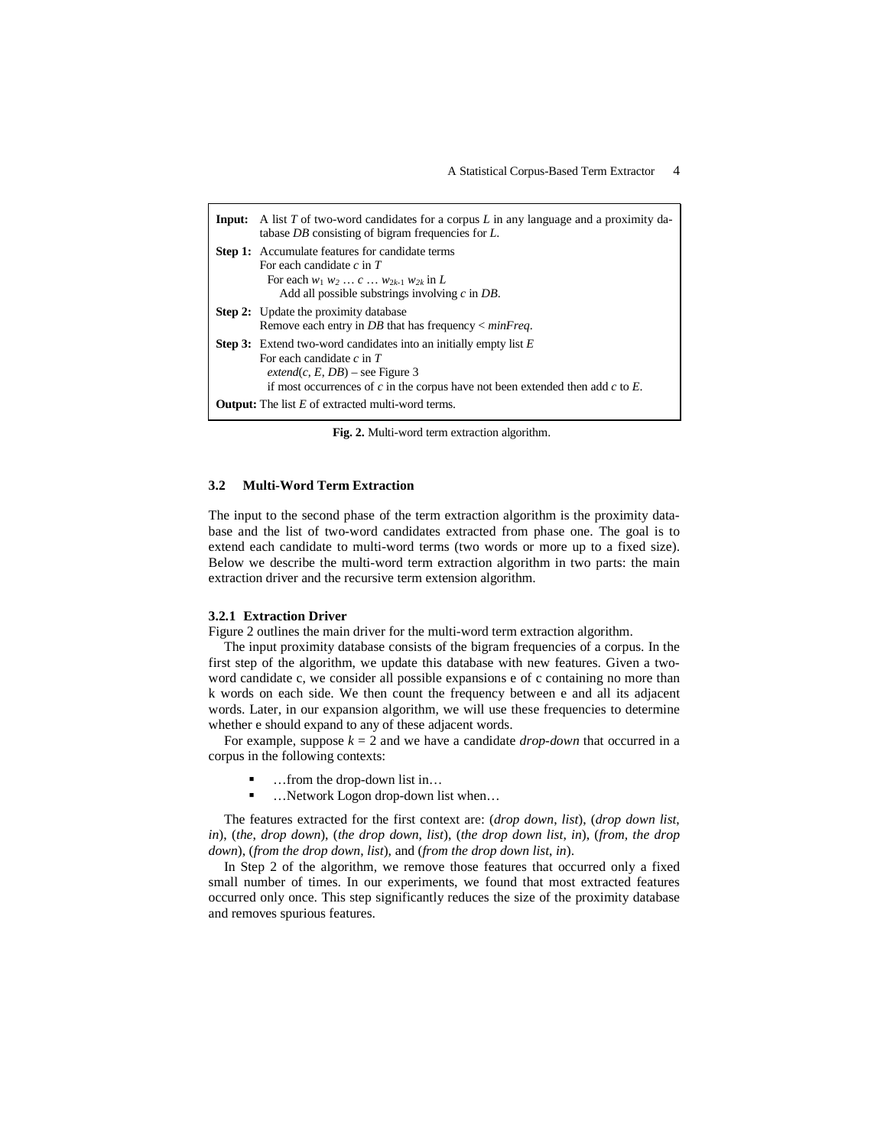| <b>Input:</b> A list T of two-word candidates for a corpus L in any language and a proximity da-<br>tabase <i>DB</i> consisting of bigram frequencies for <i>L</i> .                                                                                                   |
|------------------------------------------------------------------------------------------------------------------------------------------------------------------------------------------------------------------------------------------------------------------------|
| <b>Step 1:</b> Accumulate features for candidate terms<br>For each candidate $c$ in $T$<br>For each $w_1 w_2  c  w_{2k-1} w_{2k}$ in L<br>Add all possible substrings involving $c$ in DB.                                                                             |
| <b>Step 2:</b> Update the proximity database<br>Remove each entry in <i>DB</i> that has frequency $\langle$ <i>minFreq.</i>                                                                                                                                            |
| <b>Step 3:</b> Extend two-word candidates into an initially empty list $E$<br>For each candidate $c$ in $T$<br><i>extend</i> ( <i>c</i> , <i>E</i> , <i>DB</i> ) – see Figure 3<br>if most occurrences of c in the corpus have not been extended then add $c$ to $E$ . |
| <b>Output:</b> The list $E$ of extracted multi-word terms.                                                                                                                                                                                                             |

**Fig. 2.** Multi-word term extraction algorithm.

### **3.2 Multi-Word Term Extraction**

The input to the second phase of the term extraction algorithm is the proximity database and the list of two-word candidates extracted from phase one. The goal is to extend each candidate to multi-word terms (two words or more up to a fixed size). Below we describe the multi-word term extraction algorithm in two parts: the main extraction driver and the recursive term extension algorithm.

#### **3.2.1 Extraction Driver**

Figure 2 outlines the main driver for the multi-word term extraction algorithm.

The input proximity database consists of the bigram frequencies of a corpus. In the first step of the algorithm, we update this database with new features. Given a twoword candidate c, we consider all possible expansions e of c containing no more than k words on each side. We then count the frequency between e and all its adjacent words. Later, in our expansion algorithm, we will use these frequencies to determine whether e should expand to any of these adjacent words.

For example, suppose  $k = 2$  and we have a candidate *drop-down* that occurred in a corpus in the following contexts:

- ! …from the drop-down list in…
- ! …Network Logon drop-down list when…

The features extracted for the first context are: (*drop down*, *list*), (*drop down list*, *in*), (*the*, *drop down*), (*the drop down*, *list*), (*the drop down list*, *in*), (*from, the drop down*), (*from the drop down*, *list*), and (*from the drop down list*, *in*).

In Step 2 of the algorithm, we remove those features that occurred only a fixed small number of times. In our experiments, we found that most extracted features occurred only once. This step significantly reduces the size of the proximity database and removes spurious features.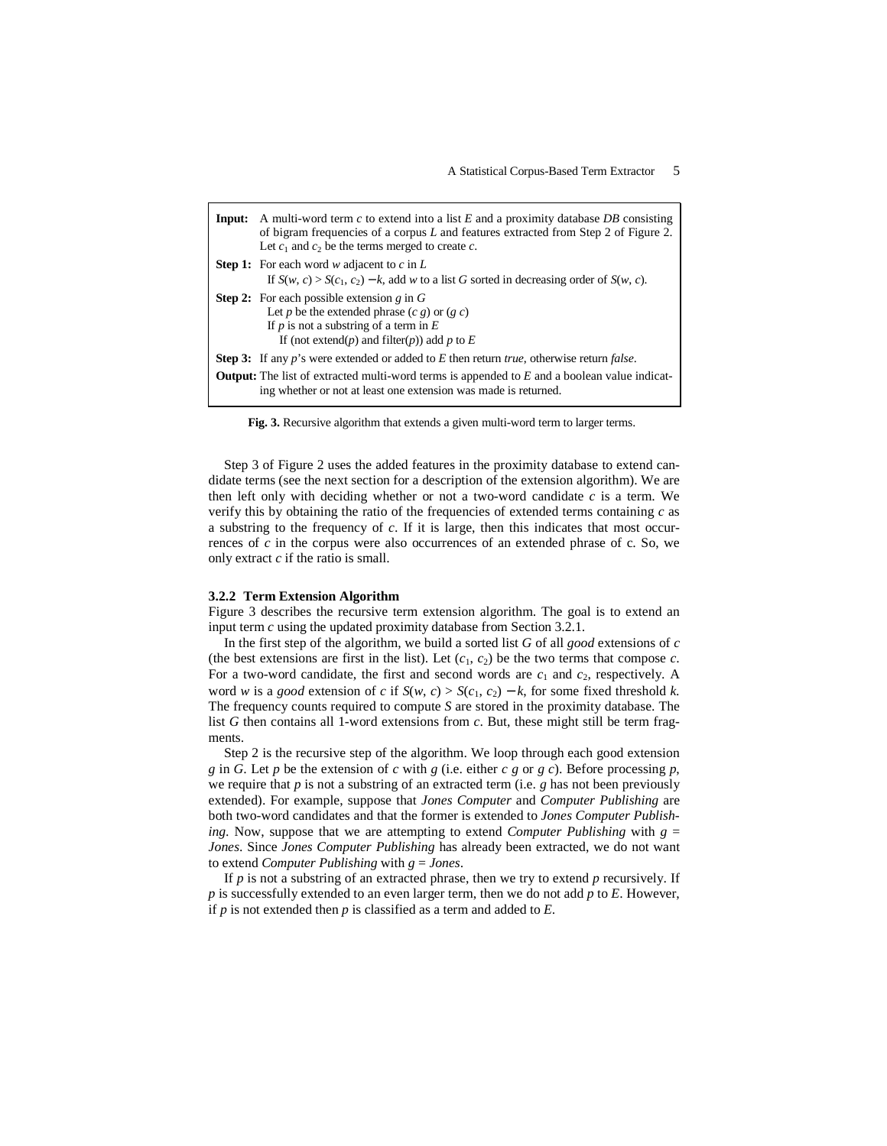| Input: | A multi-word term $c$ to extend into a list $E$ and a proximity database DB consisting<br>of bigram frequencies of a corpus $L$ and features extracted from Step 2 of Figure 2.<br>Let $c_1$ and $c_2$ be the terms merged to create c. |
|--------|-----------------------------------------------------------------------------------------------------------------------------------------------------------------------------------------------------------------------------------------|
|        | <b>Step 1:</b> For each word w adjacent to c in L                                                                                                                                                                                       |
|        | If $S(w, c) > S(c_1, c_2) - k$ , add w to a list G sorted in decreasing order of $S(w, c)$ .                                                                                                                                            |
|        | <b>Step 2:</b> For each possible extension $g$ in $G$                                                                                                                                                                                   |
|        | Let p be the extended phrase $(c, g)$ or $(g, c)$                                                                                                                                                                                       |
|        | If $p$ is not a substring of a term in $E$                                                                                                                                                                                              |
|        | If (not extend(p) and filter(p)) add p to E                                                                                                                                                                                             |
|        | <b>Step 3:</b> If any p's were extended or added to E then return <i>true</i> , otherwise return <i>false</i> .                                                                                                                         |
|        | <b>Output:</b> The list of extracted multi-word terms is appended to $E$ and a boolean value indicat-<br>ing whether or not at least one extension was made is returned.                                                                |

**Fig. 3.** Recursive algorithm that extends a given multi-word term to larger terms.

Step 3 of Figure 2 uses the added features in the proximity database to extend candidate terms (see the next section for a description of the extension algorithm). We are then left only with deciding whether or not a two-word candidate *c* is a term. We verify this by obtaining the ratio of the frequencies of extended terms containing *c* as a substring to the frequency of *c*. If it is large, then this indicates that most occurrences of *c* in the corpus were also occurrences of an extended phrase of c. So, we only extract *c* if the ratio is small.

#### **3.2.2 Term Extension Algorithm**

Figure 3 describes the recursive term extension algorithm. The goal is to extend an input term *c* using the updated proximity database from Section 3.2.1.

In the first step of the algorithm, we build a sorted list *G* of all *good* extensions of *c* (the best extensions are first in the list). Let  $(c_1, c_2)$  be the two terms that compose  $c$ . For a two-word candidate, the first and second words are  $c_1$  and  $c_2$ , respectively. A word *w* is a *good* extension of *c* if  $S(w, c) > S(c_1, c_2) - k$ , for some fixed threshold *k*. The frequency counts required to compute *S* are stored in the proximity database. The list *G* then contains all 1-word extensions from *c*. But, these might still be term fragments.

Step 2 is the recursive step of the algorithm. We loop through each good extension *g* in *G*. Let *p* be the extension of *c* with *g* (i.e. either *c g* or *g c*). Before processing *p*, we require that  $p$  is not a substring of an extracted term (i.e.  $q$  has not been previously extended). For example, suppose that *Jones Computer* and *Computer Publishing* are both two-word candidates and that the former is extended to *Jones Computer Publishing*. Now, suppose that we are attempting to extend *Computer Publishing* with  $g =$ *Jones*. Since *Jones Computer Publishing* has already been extracted, we do not want to extend *Computer Publishing* with *g* = *Jones*.

If *p* is not a substring of an extracted phrase, then we try to extend *p* recursively. If *p* is successfully extended to an even larger term, then we do not add *p* to *E*. However, if *p* is not extended then *p* is classified as a term and added to *E*.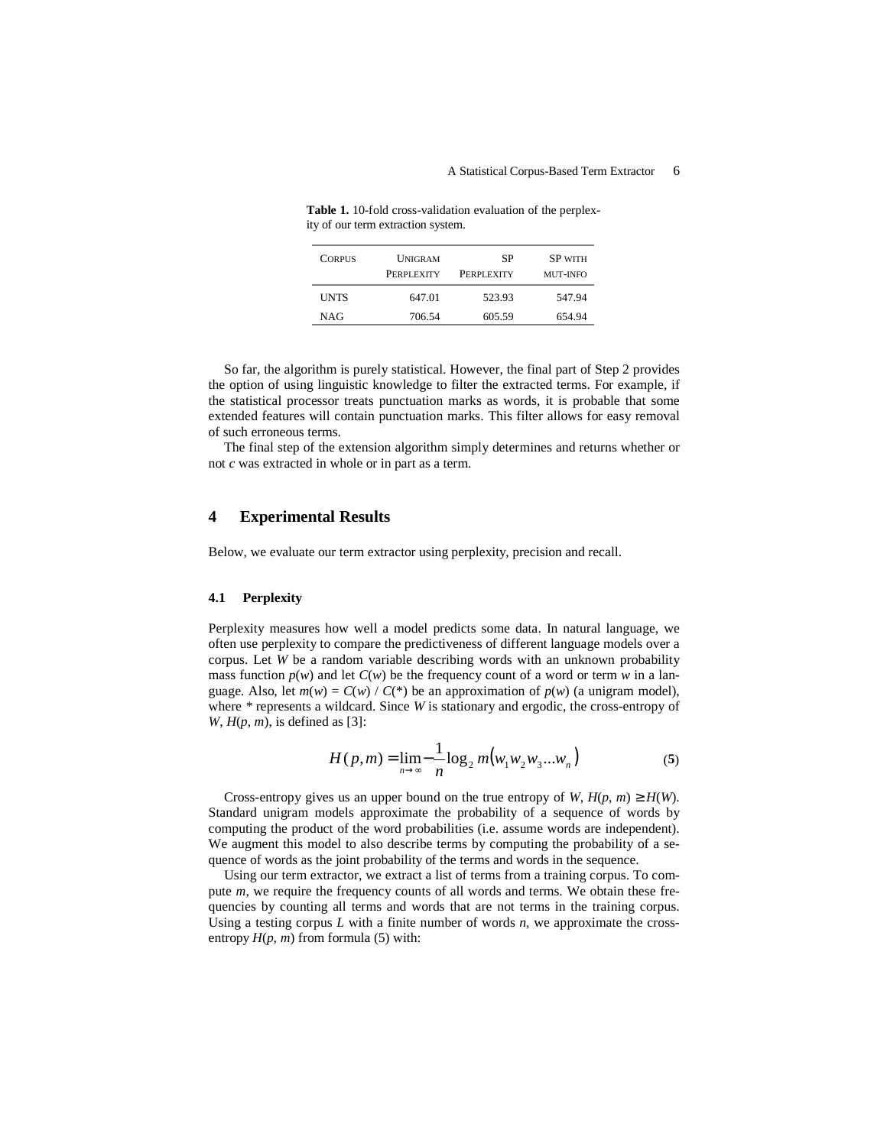**Table 1.** 10-fold cross-validation evaluation of the perplexity of our term extraction system.

| <b>CORPUS</b> | UNIGRAM<br>PERPLEXITY | SP<br>PERPLEXITY | <b>SP</b> with<br><b>MUT-INFO</b> |
|---------------|-----------------------|------------------|-----------------------------------|
| <b>UNTS</b>   | 647.01                | 523.93           | 547.94                            |
| NAG           | 706.54                | 605.59           | 654.94                            |

So far, the algorithm is purely statistical. However, the final part of Step 2 provides the option of using linguistic knowledge to filter the extracted terms. For example, if the statistical processor treats punctuation marks as words, it is probable that some extended features will contain punctuation marks. This filter allows for easy removal of such erroneous terms.

The final step of the extension algorithm simply determines and returns whether or not *c* was extracted in whole or in part as a term.

# **4 Experimental Results**

Below, we evaluate our term extractor using perplexity, precision and recall.

### **4.1 Perplexity**

Perplexity measures how well a model predicts some data. In natural language, we often use perplexity to compare the predictiveness of different language models over a corpus. Let *W* be a random variable describing words with an unknown probability mass function  $p(w)$  and let  $C(w)$  be the frequency count of a word or term w in a language. Also, let  $m(w) = C(w) / C(*)$  be an approximation of  $p(w)$  (a unigram model), where *\** represents a wildcard. Since *W* is stationary and ergodic, the cross-entropy of *W*,  $H(p, m)$ , is defined as [3]:

$$
H(p,m) = \lim_{n \to \infty} -\frac{1}{n} \log_2 m(w_1 w_2 w_3 ... w_n)
$$
 (5)

Cross-entropy gives us an upper bound on the true entropy of *W*,  $H(p, m) \ge H(W)$ . Standard unigram models approximate the probability of a sequence of words by computing the product of the word probabilities (i.e. assume words are independent). We augment this model to also describe terms by computing the probability of a sequence of words as the joint probability of the terms and words in the sequence.

Using our term extractor, we extract a list of terms from a training corpus. To compute *m*, we require the frequency counts of all words and terms. We obtain these frequencies by counting all terms and words that are not terms in the training corpus. Using a testing corpus *L* with a finite number of words *n*, we approximate the crossentropy  $H(p, m)$  from formula (5) with: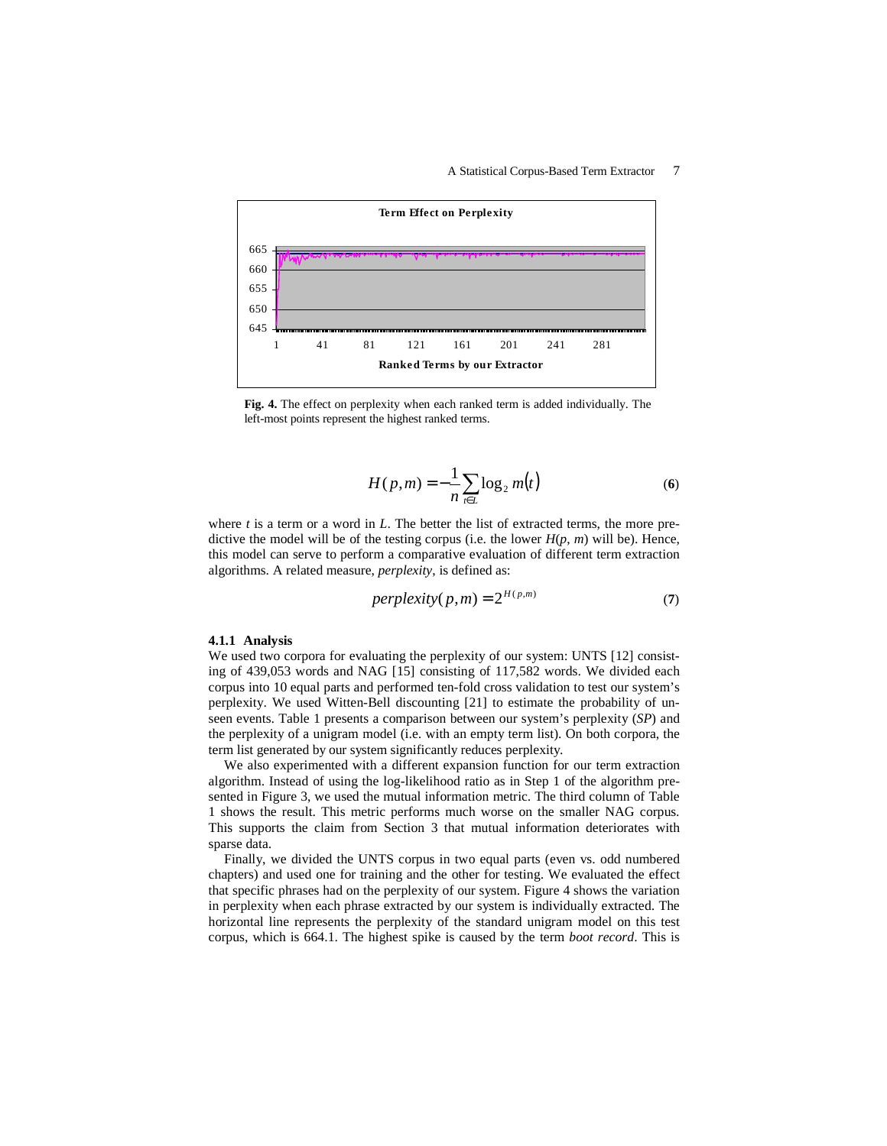#### A Statistical Corpus-Based Term Extractor 7





$$
H(p,m) = -\frac{1}{n} \sum_{t \in L} \log_2 m(t)
$$
 (6)

where *t* is a term or a word in *L*. The better the list of extracted terms, the more predictive the model will be of the testing corpus (i.e. the lower  $H(p, m)$  will be). Hence, this model can serve to perform a comparative evaluation of different term extraction algorithms. A related measure, *perplexity*, is defined as:

$$
perplexity(p,m) = 2^{H(p,m)} \tag{7}
$$

#### **4.1.1 Analysis**

We used two corpora for evaluating the perplexity of our system: UNTS [12] consisting of 439,053 words and NAG [15] consisting of 117,582 words. We divided each corpus into 10 equal parts and performed ten-fold cross validation to test our system's perplexity. We used Witten-Bell discounting [21] to estimate the probability of unseen events. Table 1 presents a comparison between our system's perplexity (*SP*) and the perplexity of a unigram model (i.e. with an empty term list). On both corpora, the term list generated by our system significantly reduces perplexity.

We also experimented with a different expansion function for our term extraction algorithm. Instead of using the log-likelihood ratio as in Step 1 of the algorithm presented in Figure 3, we used the mutual information metric. The third column of Table 1 shows the result. This metric performs much worse on the smaller NAG corpus. This supports the claim from Section 3 that mutual information deteriorates with sparse data.

Finally, we divided the UNTS corpus in two equal parts (even vs. odd numbered chapters) and used one for training and the other for testing. We evaluated the effect that specific phrases had on the perplexity of our system. Figure 4 shows the variation in perplexity when each phrase extracted by our system is individually extracted. The horizontal line represents the perplexity of the standard unigram model on this test corpus, which is 664.1. The highest spike is caused by the term *boot record*. This is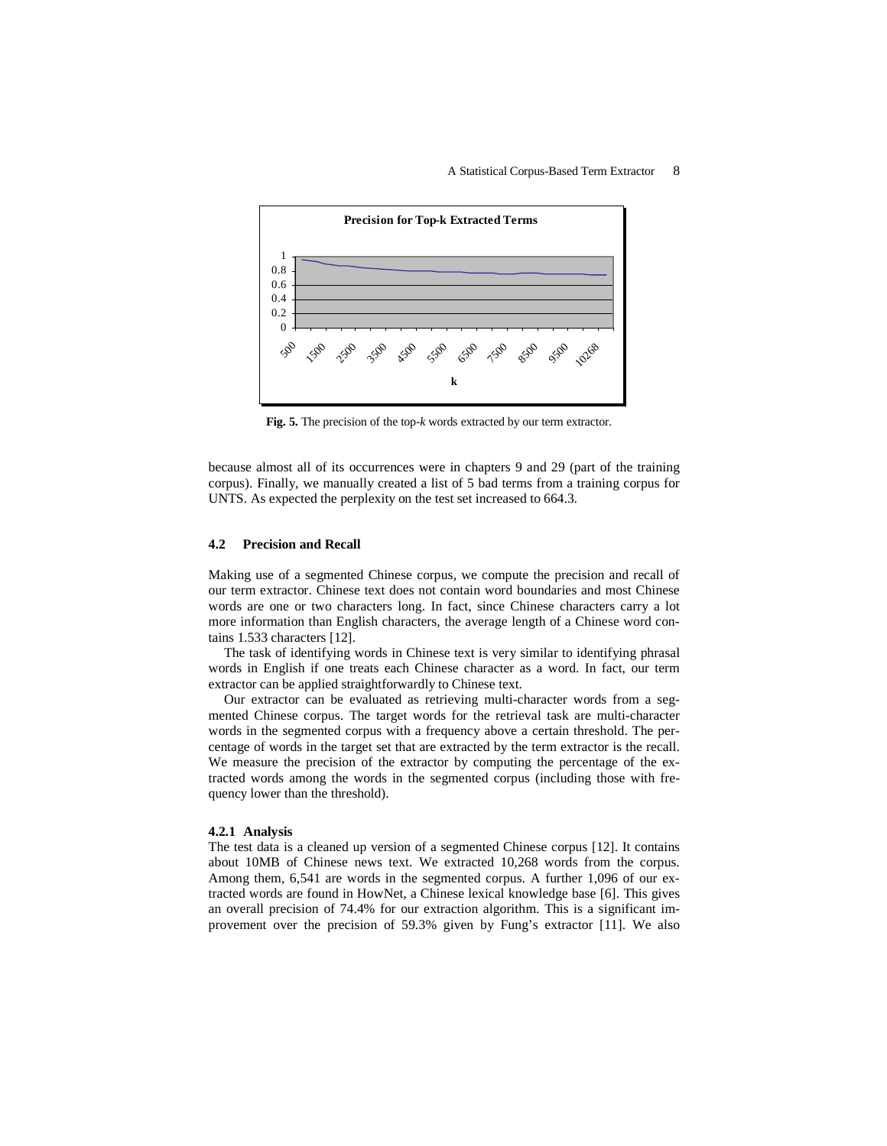

**Fig. 5.** The precision of the top-*k* words extracted by our term extractor.

because almost all of its occurrences were in chapters 9 and 29 (part of the training corpus). Finally, we manually created a list of 5 bad terms from a training corpus for UNTS. As expected the perplexity on the test set increased to 664.3.

### **4.2 Precision and Recall**

Making use of a segmented Chinese corpus, we compute the precision and recall of our term extractor. Chinese text does not contain word boundaries and most Chinese words are one or two characters long. In fact, since Chinese characters carry a lot more information than English characters, the average length of a Chinese word contains 1.533 characters [12].

The task of identifying words in Chinese text is very similar to identifying phrasal words in English if one treats each Chinese character as a word. In fact, our term extractor can be applied straightforwardly to Chinese text.

Our extractor can be evaluated as retrieving multi-character words from a segmented Chinese corpus. The target words for the retrieval task are multi-character words in the segmented corpus with a frequency above a certain threshold. The percentage of words in the target set that are extracted by the term extractor is the recall. We measure the precision of the extractor by computing the percentage of the extracted words among the words in the segmented corpus (including those with frequency lower than the threshold).

#### **4.2.1 Analysis**

The test data is a cleaned up version of a segmented Chinese corpus [12]. It contains about 10MB of Chinese news text. We extracted 10,268 words from the corpus. Among them, 6,541 are words in the segmented corpus. A further 1,096 of our extracted words are found in HowNet, a Chinese lexical knowledge base [6]. This gives an overall precision of 74.4% for our extraction algorithm. This is a significant improvement over the precision of 59.3% given by Fung's extractor [11]. We also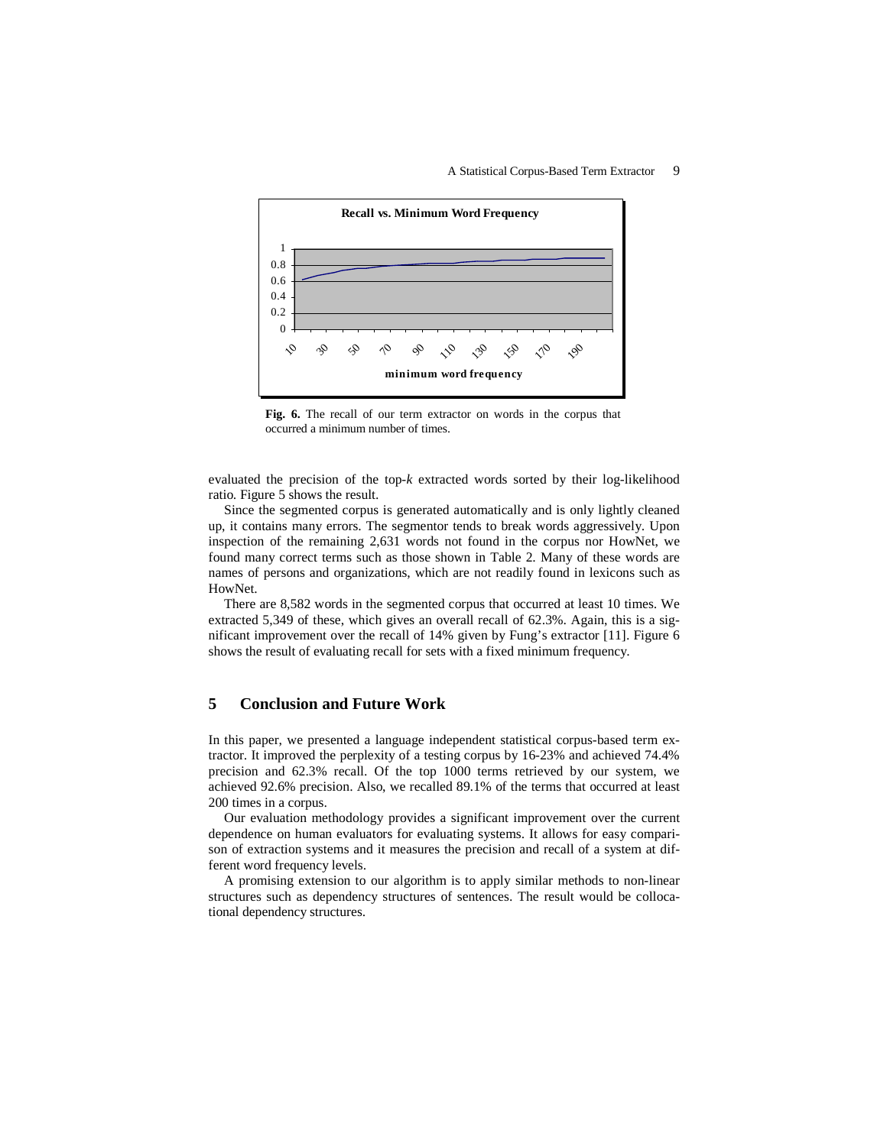#### A Statistical Corpus-Based Term Extractor 9



**Fig. 6.** The recall of our term extractor on words in the corpus that occurred a minimum number of times.

evaluated the precision of the top-*k* extracted words sorted by their log-likelihood ratio. Figure 5 shows the result.

Since the segmented corpus is generated automatically and is only lightly cleaned up, it contains many errors. The segmentor tends to break words aggressively. Upon inspection of the remaining 2,631 words not found in the corpus nor HowNet, we found many correct terms such as those shown in Table 2. Many of these words are names of persons and organizations, which are not readily found in lexicons such as HowNet.

There are 8,582 words in the segmented corpus that occurred at least 10 times. We extracted 5,349 of these, which gives an overall recall of 62.3%. Again, this is a significant improvement over the recall of 14% given by Fung's extractor [11]. Figure 6 shows the result of evaluating recall for sets with a fixed minimum frequency.

# **5 Conclusion and Future Work**

In this paper, we presented a language independent statistical corpus-based term extractor. It improved the perplexity of a testing corpus by 16-23% and achieved 74.4% precision and 62.3% recall. Of the top 1000 terms retrieved by our system, we achieved 92.6% precision. Also, we recalled 89.1% of the terms that occurred at least 200 times in a corpus.

Our evaluation methodology provides a significant improvement over the current dependence on human evaluators for evaluating systems. It allows for easy comparison of extraction systems and it measures the precision and recall of a system at different word frequency levels.

A promising extension to our algorithm is to apply similar methods to non-linear structures such as dependency structures of sentences. The result would be collocational dependency structures.